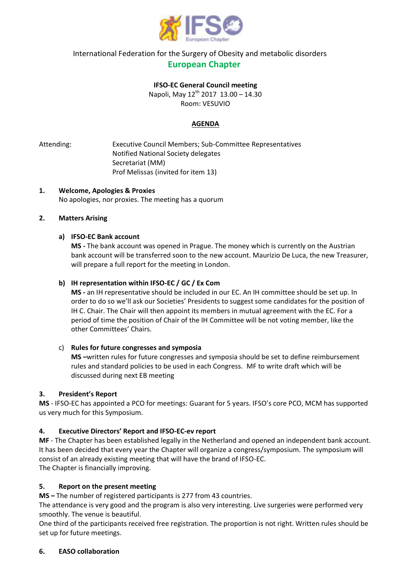

 International Federation for the Surgery of Obesity and metabolic disorders  **European Chapter** 

## **IFSO-EC General Council meeting**

Napoli, May 12<sup>th</sup> 2017 13.00 - 14.30 Room: VESUVIO

# **AGENDA**

Attending: Executive Council Members; Sub-Committee Representatives Notified National Society delegates Secretariat (MM) Prof Melissas (invited for item 13)

### **1. Welcome, Apologies & Proxies** No apologies, nor proxies. The meeting has a quorum

## **2. Matters Arising**

### **a) IFSO-EC Bank account**

**MS -** The bank account was opened in Prague. The money which is currently on the Austrian bank account will be transferred soon to the new account. Maurizio De Luca, the new Treasurer, will prepare a full report for the meeting in London.

## **b) IH representation within IFSO-EC / GC / Ex Com**

**MS -** an IH representative should be included in our EC. An IH committee should be set up. In order to do so we'll ask our Societies' Presidents to suggest some candidates for the position of IH C. Chair. The Chair will then appoint its members in mutual agreement with the EC. For a period of time the position of Chair of the IH Committee will be not voting member, like the other Committees' Chairs.

## c) **Rules for future congresses and symposia**

**MS –**written rules for future congresses and symposia should be set to define reimbursement rules and standard policies to be used in each Congress. MF to write draft which will be discussed during next EB meeting

#### **3. President's Report**

**MS** - IFSO-EC has appointed a PCO for meetings: Guarant for 5 years. IFSO's core PCO, MCM has supported us very much for this Symposium.

## **4. Executive Directors' Report and IFSO-EC-ev report**

**MF** - The Chapter has been established legally in the Netherland and opened an independent bank account. It has been decided that every year the Chapter will organize a congress/symposium. The symposium will consist of an already existing meeting that will have the brand of IFSO-EC. The Chapter is financially improving.

## **5. Report on the present meeting**

**MS –** The number of registered participants is 277 from 43 countries.

The attendance is very good and the program is also very interesting. Live surgeries were performed very smoothly. The venue is beautiful.

One third of the participants received free registration. The proportion is not right. Written rules should be set up for future meetings.

#### **6. EASO collaboration**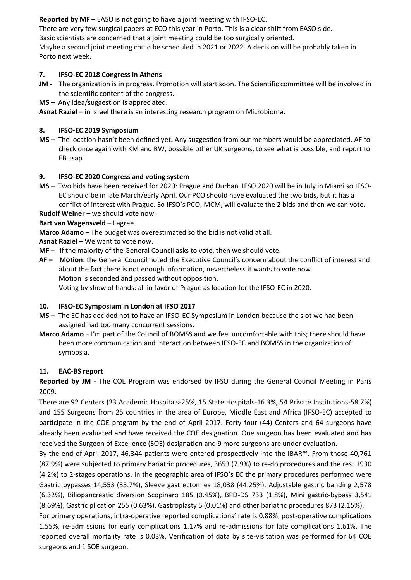**Reported by MF –** EASO is not going to have a joint meeting with IFSO-EC.

There are very few surgical papers at ECO this year in Porto. This is a clear shift from EASO side.

Basic scientists are concerned that a joint meeting could be too surgically oriented.

Maybe a second joint meeting could be scheduled in 2021 or 2022. A decision will be probably taken in Porto next week.

# **7. IFSO-EC 2018 Congress in Athens**

- **JM -** The organization is in progress. Promotion will start soon. The Scientific committee will be involved in the scientific content of the congress.
- **MS –** Any idea/suggestion is appreciated.

Asnat Raziel – in Israel there is an interesting research program on Microbioma.

# **8. IFSO-EC 2019 Symposium**

**MS –** The location hasn't been defined yet**.** Any suggestion from our members would be appreciated. AF to check once again with KM and RW, possible other UK surgeons, to see what is possible, and report to EB asap

# **9. IFSO-EC 2020 Congress and voting system**

**MS –** Two bids have been received for 2020: Prague and Durban. IFSO 2020 will be in July in Miami so IFSO-EC should be in late March/early April. Our PCO should have evaluated the two bids, but it has a conflict of interest with Prague. So IFSO's PCO, MCM, will evaluate the 2 bids and then we can vote.

**Rudolf Weiner –** we should vote now.

## **Bart van Wagensveld –** I agree.

**Marco Adamo –** The budget was overestimated so the bid is not valid at all.

**Asnat Raziel –** We want to vote now.

**MF –** if the majority of the General Council asks to vote, then we should vote.

**AF – Motion:** the General Council noted the Executive Council's concern about the conflict of interest and about the fact there is not enough information, nevertheless it wants to vote now. Motion is seconded and passed without opposition. Voting by show of hands: all in favor of Prague as location for the IFSO-EC in 2020.

## **10. IFSO-EC Symposium in London at IFSO 2017**

- **MS –** The EC has decided not to have an IFSO-EC Symposium in London because the slot we had been assigned had too many concurrent sessions.
- **Marco Adamo**  I'm part of the Council of BOMSS and we feel uncomfortable with this; there should have been more communication and interaction between IFSO-EC and BOMSS in the organization of symposia.

## **11. EAC-BS report**

**Reported by JM** - The COE Program was endorsed by IFSO during the General Council Meeting in Paris 2009.

There are 92 Centers (23 Academic Hospitals-25%, 15 State Hospitals-16.3%, 54 Private Institutions-58.7%) and 155 Surgeons from 25 countries in the area of Europe, Middle East and Africa (IFSO-EC) accepted to participate in the COE program by the end of April 2017. Forty four (44) Centers and 64 surgeons have already been evaluated and have received the COE designation. One surgeon has been evaluated and has received the Surgeon of Excellence (SOE) designation and 9 more surgeons are under evaluation.

By the end of April 2017, 46,344 patients were entered prospectively into the IBAR™. From those 40,761 (87.9%) were subjected to primary bariatric procedures, 3653 (7.9%) to re-do procedures and the rest 1930 (4.2%) to 2-stages operations. In the geographic area of IFSO's EC the primary procedures performed were Gastric bypasses 14,553 (35.7%), Sleeve gastrectomies 18,038 (44.25%), Adjustable gastric banding 2,578 (6.32%), Biliopancreatic diversion Scopinaro 185 (0.45%), BPD-DS 733 (1.8%), Mini gastric-bypass 3,541 (8.69%), Gastric plication 255 (0.63%), Gastroplasty 5 (0.01%) and other bariatric procedures 873 (2.15%).

For primary operations, intra-operative reported complications' rate is 0.88%, post-operative complications 1.55%, re-admissions for early complications 1.17% and re-admissions for late complications 1.61%. The reported overall mortality rate is 0.03%. Verification of data by site-visitation was performed for 64 COE surgeons and 1 SOE surgeon.